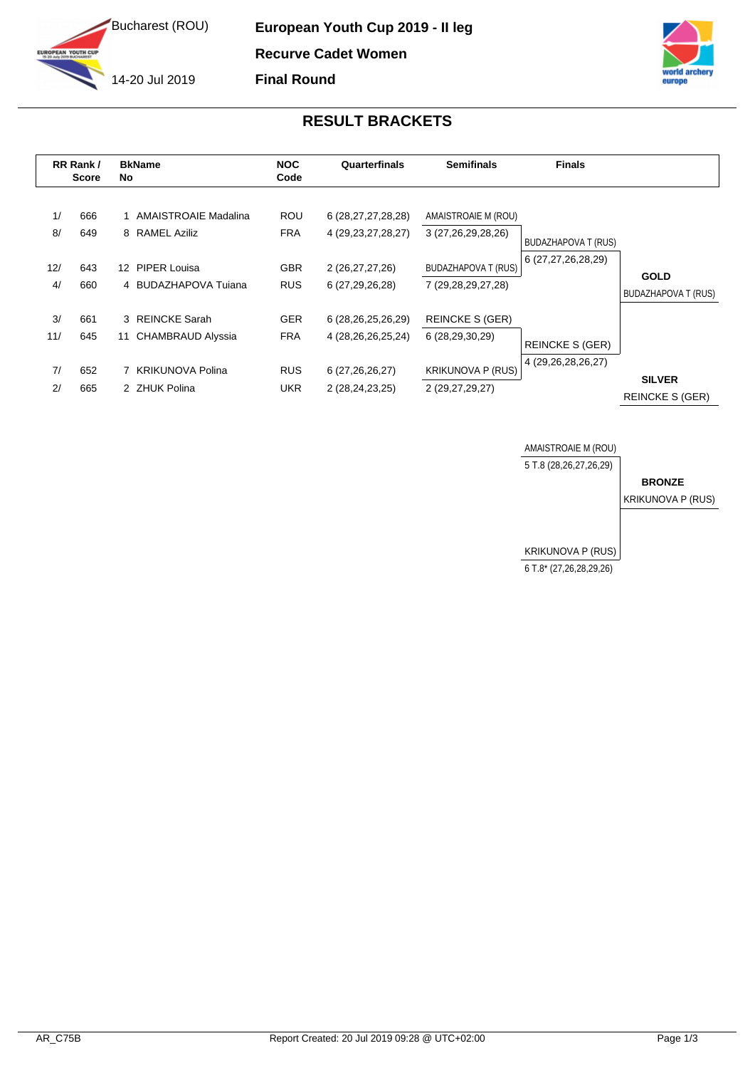

**European Youth Cup 2019 - II leg Recurve Cadet Women Final Round**

## **RESULT BRACKETS**

| RR Rank/<br><b>Score</b> |            | <b>BkName</b><br>No |                                          | <b>NOC</b><br>Code       | Quarterfinals                                    | <b>Semifinals</b>                                | <b>Finals</b>          |                                         |
|--------------------------|------------|---------------------|------------------------------------------|--------------------------|--------------------------------------------------|--------------------------------------------------|------------------------|-----------------------------------------|
| 1/<br>8/                 | 666<br>649 |                     | 1 AMAISTROAIE Madalina<br>8 RAMEL Aziliz | <b>ROU</b><br><b>FRA</b> | 6 (28, 27, 27, 28, 28)<br>4 (29, 23, 27, 28, 27) | AMAISTROAIE M (ROU)<br>3 (27,26,29,28,26)        | BUDAZHAPOVA T (RUS)    |                                         |
| 12/<br>4/                | 643<br>660 | 12 <sup>7</sup>     | PIPER Louisa<br>4 BUDAZHAPOVA Tujana     | <b>GBR</b><br><b>RUS</b> | 2 (26,27,27,26)<br>6 (27,29,26,28)               | <b>BUDAZHAPOVA T (RUS)</b><br>7 (29,28,29,27,28) | 6 (27,27,26,28,29)     | <b>GOLD</b>                             |
| 3/                       | 661        |                     | 3 REINCKE Sarah                          | <b>GER</b>               | 6 (28,26,25,26,29)                               | <b>REINCKE S (GER)</b>                           |                        | BUDAZHAPOVA T (RUS)                     |
| 11/                      | 645        | 11                  | <b>CHAMBRAUD Alyssia</b>                 | <b>FRA</b>               | 4 (28, 26, 26, 25, 24)                           | 6 (28,29,30,29)                                  | <b>REINCKE S (GER)</b> |                                         |
| 7/<br>2/                 | 652<br>665 |                     | <b>KRIKUNOVA Polina</b><br>2 ZHUK Polina | <b>RUS</b><br><b>UKR</b> | 6 (27, 26, 26, 27)<br>2 (28,24,23,25)            | <b>KRIKUNOVA P (RUS)</b><br>2 (29,27,29,27)      | 4 (29, 26, 28, 26, 27) | <b>SILVER</b><br><b>REINCKE S (GER)</b> |

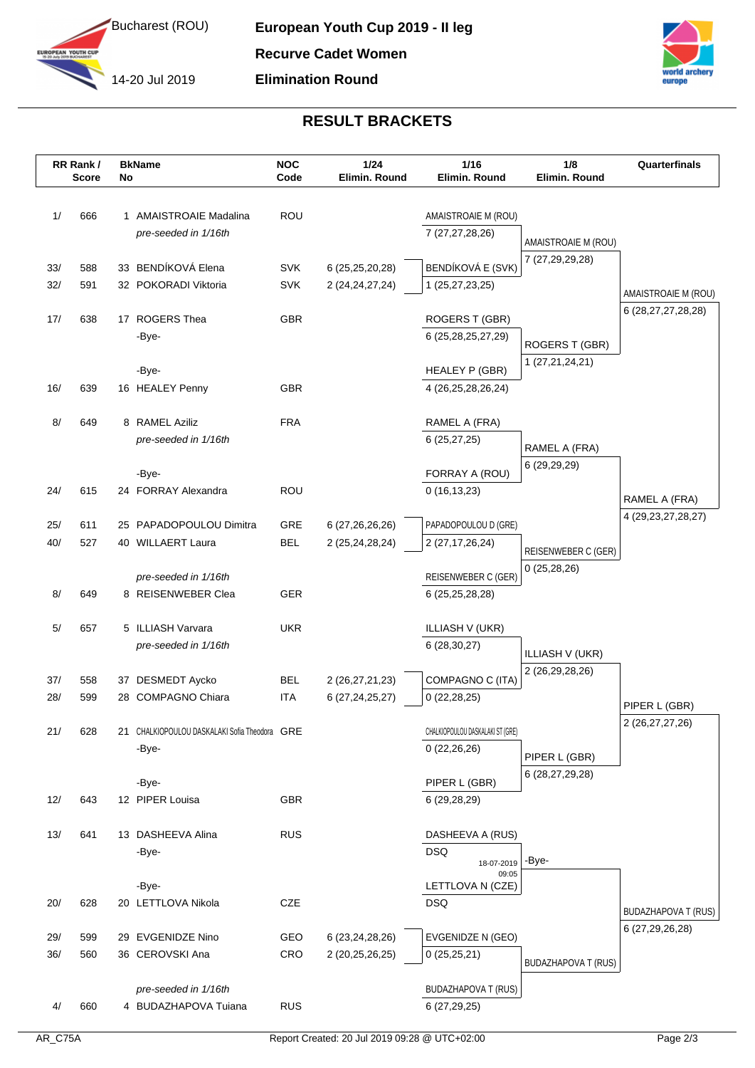



## **RESULT BRACKETS**

|     | RR Rank/<br><b>Score</b> | No | <b>BkName</b>                                 | <b>NOC</b><br>Code | 1/24<br>Elimin. Round | 1/16<br>Elimin. Round            | 1/8<br>Elimin. Round              | Quarterfinals              |
|-----|--------------------------|----|-----------------------------------------------|--------------------|-----------------------|----------------------------------|-----------------------------------|----------------------------|
|     |                          |    |                                               |                    |                       |                                  |                                   |                            |
| 1/  | 666                      |    | 1 AMAISTROAIE Madalina                        | ROU                |                       | AMAISTROAIE M (ROU)              |                                   |                            |
|     |                          |    | pre-seeded in 1/16th                          |                    |                       | 7 (27,27,28,26)                  | AMAISTROAIE M (ROU)               |                            |
|     |                          |    |                                               |                    |                       |                                  | 7 (27,29,29,28)                   |                            |
| 33/ | 588                      |    | 33 BENDÍKOVÁ Elena                            | <b>SVK</b>         | 6 (25,25,20,28)       | BENDÍKOVÁ E (SVK)                |                                   |                            |
| 32/ | 591                      |    | 32 POKORADI Viktoria                          | <b>SVK</b>         | 2 (24, 24, 27, 24)    | 1 (25,27,23,25)                  |                                   | AMAISTROAIE M (ROU)        |
| 17/ | 638                      |    | 17 ROGERS Thea                                | <b>GBR</b>         |                       | ROGERS T (GBR)                   |                                   | 6 (28, 27, 27, 28, 28)     |
|     |                          |    | -Bye-                                         |                    |                       | 6 (25,28,25,27,29)               |                                   |                            |
|     |                          |    |                                               |                    |                       |                                  | ROGERS T (GBR)<br>1 (27,21,24,21) |                            |
|     |                          |    | -Bye-                                         |                    |                       | HEALEY P (GBR)                   |                                   |                            |
| 16/ | 639                      |    | 16 HEALEY Penny                               | <b>GBR</b>         |                       | 4 (26,25,28,26,24)               |                                   |                            |
| 8/  | 649                      |    | 8 RAMEL Aziliz                                | <b>FRA</b>         |                       | RAMEL A (FRA)                    |                                   |                            |
|     |                          |    | pre-seeded in 1/16th                          |                    |                       | 6(25, 27, 25)                    | RAMEL A (FRA)                     |                            |
|     |                          |    |                                               |                    |                       |                                  | 6 (29,29,29)                      |                            |
|     |                          |    | -Bye-                                         |                    |                       | FORRAY A (ROU)                   |                                   |                            |
| 24/ | 615                      |    | 24 FORRAY Alexandra                           | ROU                |                       | 0(16, 13, 23)                    |                                   | RAMEL A (FRA)              |
| 25/ | 611                      |    | 25 PAPADOPOULOU Dimitra                       | GRE                | 6 (27, 26, 26, 26)    | PAPADOPOULOU D (GRE)             |                                   | 4 (29, 23, 27, 28, 27)     |
| 40/ | 527                      |    | 40 WILLAERT Laura                             | <b>BEL</b>         | 2 (25,24,28,24)       | 2 (27, 17, 26, 24)               |                                   |                            |
|     |                          |    |                                               |                    |                       |                                  | REISENWEBER C (GER)               |                            |
|     |                          |    | pre-seeded in 1/16th                          |                    |                       | REISENWEBER C (GER)              | 0(25, 28, 26)                     |                            |
| 8/  | 649                      |    | 8 REISENWEBER Clea                            | GER                |                       | 6 (25, 25, 28, 28)               |                                   |                            |
| 5/  | 657                      |    | 5 ILLIASH Varvara                             | <b>UKR</b>         |                       | <b>ILLIASH V (UKR)</b>           |                                   |                            |
|     |                          |    | pre-seeded in 1/16th                          |                    |                       | 6 (28,30,27)                     |                                   |                            |
|     |                          |    |                                               |                    |                       |                                  | <b>ILLIASH V (UKR)</b>            |                            |
| 37/ | 558                      |    | 37 DESMEDT Aycko                              | <b>BEL</b>         | 2 (26, 27, 21, 23)    | COMPAGNO C (ITA)                 | 2 (26,29,28,26)                   |                            |
| 28/ | 599                      |    | 28 COMPAGNO Chiara                            | <b>ITA</b>         | 6 (27, 24, 25, 27)    | 0(22, 28, 25)                    |                                   | PIPER L (GBR)              |
| 21/ | 628                      |    | 21 CHALKIOPOULOU DASKALAKI Sofia Theodora GRE |                    |                       | CHALKIOPOULOU DASKALAKI ST (GRE) |                                   | 2 (26,27,27,26)            |
|     |                          |    | -Bye-                                         |                    |                       | 0(22,26,26)                      |                                   |                            |
|     |                          |    |                                               |                    |                       |                                  | PIPER L (GBR)                     |                            |
|     |                          |    | -Bye-                                         |                    |                       | PIPER L (GBR)                    | 6 (28,27,29,28)                   |                            |
| 12/ | 643                      |    | 12 PIPER Louisa                               | <b>GBR</b>         |                       | 6 (29,28,29)                     |                                   |                            |
| 13/ | 641                      |    | 13 DASHEEVA Alina                             | <b>RUS</b>         |                       | DASHEEVA A (RUS)                 |                                   |                            |
|     |                          |    | -Bye-                                         |                    |                       | <b>DSQ</b>                       |                                   |                            |
|     |                          |    |                                               |                    |                       | 18-07-2019<br>09:05              | -Bye-                             |                            |
|     |                          |    | -Bye-                                         |                    |                       | LETTLOVA N (CZE)                 |                                   |                            |
| 20/ | 628                      |    | 20 LETTLOVA Nikola                            | CZE                |                       | <b>DSQ</b>                       |                                   | <b>BUDAZHAPOVA T (RUS)</b> |
| 29/ | 599                      |    | 29 EVGENIDZE Nino                             | GEO                | 6 (23, 24, 28, 26)    | EVGENIDZE N (GEO)                |                                   | 6 (27,29,26,28)            |
| 36/ | 560                      |    | 36 CEROVSKI Ana                               | CRO                | 2 (20,25,26,25)       | 0(25,25,21)                      |                                   |                            |
|     |                          |    |                                               |                    |                       |                                  | <b>BUDAZHAPOVA T (RUS)</b>        |                            |
|     |                          |    | pre-seeded in 1/16th                          |                    |                       | <b>BUDAZHAPOVA T (RUS)</b>       |                                   |                            |
| 4/  | 660                      |    | 4 BUDAZHAPOVA Tuiana                          | <b>RUS</b>         |                       | 6 (27,29,25)                     |                                   |                            |